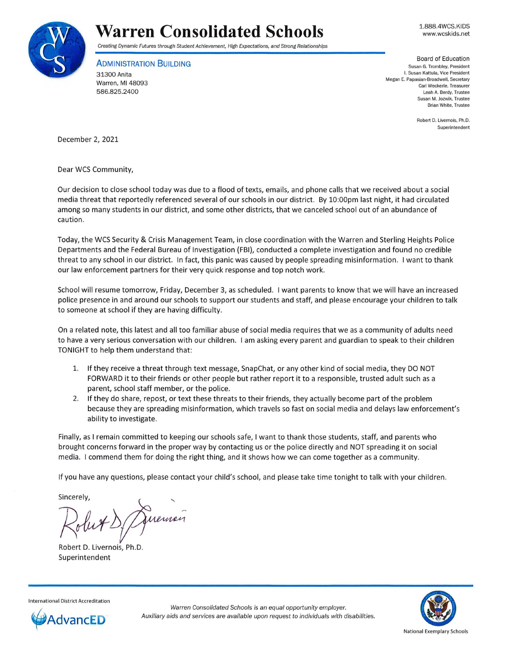

## **Warren Consolidated Schools**

1.888.4WCS.KIDS www.wcskids.net

Creating Dynamic Futures through Student Achievement, High Expectations, and Strong Relationships

**ADMINISTRATION BUILDING** 

31300 Anita Warren, Ml 48093 586.825.2400

Board of Education **Susan G. Trombley, President l. Susan Kattula, Vice President Megan E. Papasian-Broadwell, Secretary Carl Weckerle, Treasurer Leah A. Berdy, Trustee Susan M. Jozwik, Trustee Brian White, Trustee** 

> **Robert D. Livernois, Ph.D. Superintendent**

December 2, 2021

Dear WCS Community,

Our decision to close school today was due to a flood of texts, emails, and phone calls that we received about a social media threat that reportedly referenced several of our schools in our district. By 10:00pm last night, it had circulated among so many students in our district, and some other districts, that we canceled school out of an abundance of caution .

Today, the WCS Security & Crisis Management Team, in close coordination with the Warren and Sterling Heights Police Departments and the Federal Bureau of Investigation (FBI), conducted a complete investigation and found no credible threat to any school in our district. In fact, this panic was caused by people spreading misinformation. I want to thank our law enforcement partners for their very quick response and top notch work.

School will resume tomorrow, Friday, December 3, as scheduled. I want parents to know that we will have an increased police presence in and around our schools to support our students and staff, and please encourage your children to talk to someone at school if they are having difficulty.

On a related note, this latest and all too familiar abuse of social media requires that we as a community of adults need to have a very serious conversation with our children. I am asking every parent and guardian to speak to their children TONIGHT to help them understand that:

- 1. If they receive a threat through text message, SnapChat, or any other kind of social media, they DO NOT FORWARD it to their friends or other people but rather report it to a responsible, trusted adult such as a parent, school staff member, or the police.
- 2. If they do share, repost, or text these threats to their friends, they actually become part of the problem because they are spreading misinformation, which travels so fast on social media and delays law enforcement's ability to investigate.

Finally, as I remain committed to keeping our schools safe, I want to thank those students, staff, and parents who brought concerns forward in the proper way by contacting us or the police directly and NOT spreading it on social media. I commend them for doing the right thing, and it shows how we can come together as a community.

If you have any questions, please contact your child's school, and please take time tonight to talk with your children.

Sincerely,

..... Diremon

Robert D. Livernois, Ph.D. Superintendent

National Exemplary Schools





Warren Consolidated Schools is an equal opportunity employer. AdvancED **Auxiliary aids and services are available** upon request to individuals with disabilities.